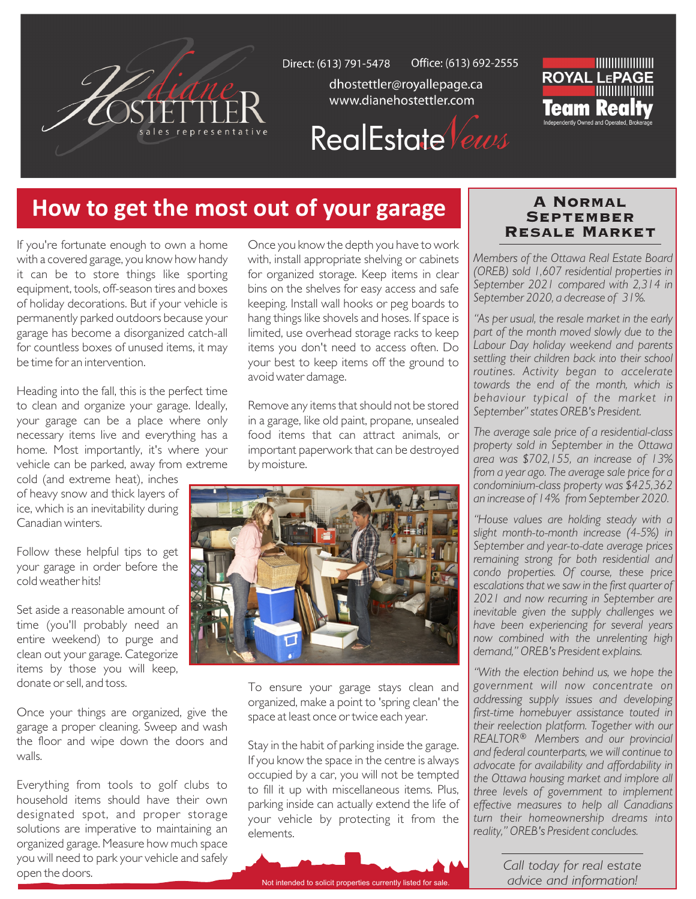

Office: (613) 692-2555 Direct: (613) 791-5478

> dhostettler@royallepage.ca www.dianehostettler.com



# **RealEstate** Vews

## **How to get the most out of your garage**

If you're fortunate enough to own a home with a covered garage, you know how handy it can be to store things like sporting equipment, tools, off-season tires and boxes of holiday decorations. But if your vehicle is permanently parked outdoors because your garage has become a disorganized catch-all for countless boxes of unused items, it may be time for an intervention.

Heading into the fall, this is the perfect time to clean and organize your garage. Ideally, your garage can be a place where only necessary items live and everything has a home. Most importantly, it's where your vehicle can be parked, away from extreme

cold (and extreme heat), inches of heavy snow and thick layers of ice, which is an inevitability during Canadian winters.

Follow these helpful tips to get your garage in order before the cold weather hits!

Set aside a reasonable amount of time (you'll probably need an entire weekend) to purge and clean out your garage. Categorize items by those you will keep, donate or sell, and toss.

Once your things are organized, give the garage a proper cleaning. Sweep and wash the floor and wipe down the doors and walls.

Everything from tools to golf clubs to household items should have their own designated spot, and proper storage solutions are imperative to maintaining an organized garage. Measure how much space you will need to park your vehicle and safely open the doors.

Once you know the depth you have to work with, install appropriate shelving or cabinets for organized storage. Keep items in clear bins on the shelves for easy access and safe keeping. Install wall hooks or peg boards to hang things like shovels and hoses. If space is limited, use overhead storage racks to keep items you don't need to access often. Do your best to keep items off the ground to avoid water damage.

Remove any items that should not be stored in a garage, like old paint, propane, unsealed food items that can attract animals, or important paperwork that can be destroyed by moisture.



To ensure your garage stays clean and organized, make a point to 'spring clean' the space at least once or twice each year.

Stay in the habit of parking inside the garage. If you know the space in the centre is always occupied by a car, you will not be tempted to fill it up with miscellaneous items. Plus, parking inside can actually extend the life of your vehicle by protecting it from the elements.

Not intended to solicit properties currently listed for sale.

#### A Normal September Resale Market

*Members of the Ottawa Real Estate Board (OREB) sold 1,607 residential properties in September 2021 compared with 2,314 in September 2020, a decrease of 31%.*

*"As per usual, the resale market in the early part of the month moved slowly due to the Labour Day holiday weekend and parents settling their children back into their school routines. Activity began to accelerate towards the end of the month, which is behaviour typical of the market in September" states OREB's President.* 

*The average sale price of a residential-class property sold in September in the Ottawa area was \$702,155, an increase of 13% from a year ago. The average sale price for a condominium-class property was \$425,362 an increase of 14% from September 2020.* 

*"House values are holding steady with a slight month-to-month increase (4-5%) in September and year-to-date average prices remaining strong for both residential and condo properties. Of course, these price escalations that we saw in the first quarter of 2021 and now recurring in September are inevitable given the supply challenges we have been experiencing for several years now combined with the unrelenting high demand," OREB's President explains.*

*"With the election behind us, we hope the government will now concentrate on addressing supply issues and developing first-time homebuyer assistance touted in their reelection platform. Together with our REALTOR® Members and our provincial and federal counterparts, we will continue to advocate for availability and affordability in the Ottawa housing market and implore all three levels of government to implement effective measures to help all Canadians turn their homeownership dreams into reality," OREB's President concludes.*

> *Call today for real estate advice and information!*